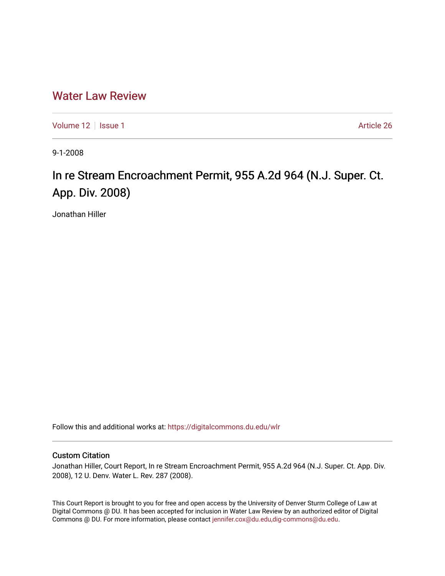# [Water Law Review](https://digitalcommons.du.edu/wlr)

[Volume 12](https://digitalcommons.du.edu/wlr/vol12) | [Issue 1](https://digitalcommons.du.edu/wlr/vol12/iss1) Article 26

9-1-2008

# In re Stream Encroachment Permit, 955 A.2d 964 (N.J. Super. Ct. App. Div. 2008)

Jonathan Hiller

Follow this and additional works at: [https://digitalcommons.du.edu/wlr](https://digitalcommons.du.edu/wlr?utm_source=digitalcommons.du.edu%2Fwlr%2Fvol12%2Fiss1%2F26&utm_medium=PDF&utm_campaign=PDFCoverPages) 

## Custom Citation

Jonathan Hiller, Court Report, In re Stream Encroachment Permit, 955 A.2d 964 (N.J. Super. Ct. App. Div. 2008), 12 U. Denv. Water L. Rev. 287 (2008).

This Court Report is brought to you for free and open access by the University of Denver Sturm College of Law at Digital Commons @ DU. It has been accepted for inclusion in Water Law Review by an authorized editor of Digital Commons @ DU. For more information, please contact [jennifer.cox@du.edu,dig-commons@du.edu.](mailto:jennifer.cox@du.edu,dig-commons@du.edu)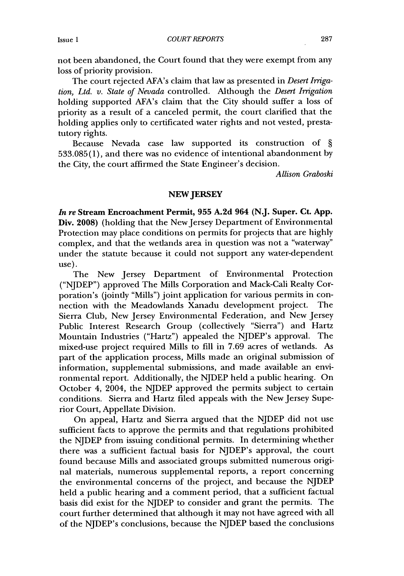*COURT REPORTS*

not been abandoned, the Court found that they were exempt from any loss of priority provision.

The court rejected AFA's claim that law as presented in *Desert Irrigation, Ltd. v. State of Nevada* controlled. Although the *Desert Irrigation* holding supported AFA's claim that the City should suffer a loss of priority as a result of a canceled permit, the court clarified that the holding applies only to certificated water rights and not vested, prestatutory rights.

Because Nevada case law supported its construction of § 533.085(1), and there was no evidence of intentional abandonment by the City, the court affirmed the State Engineer's decision.

*Allison Graboski*

### **NEW JERSEY**

*In re* **Stream** Encroachment Permit, **955 A.2d 964 (N.J. Super. Ct. App.** Div. **2008)** (holding that the New Jersey Department of Environmental Protection may place conditions on permits for projects that are **highly** complex, and that the wetlands area in question was not a "waterway" under the statute because it could not support any water-dependent use).

The New Jersey Department of Environmental Protection ("NJDEP") approved The Mills Corporation and Mack-Cali Realty Corporation's (jointly "Mills") joint application for various permits in connection with the Meadowlands Xanadu development project. The Sierra Club, New Jersey Environmental Federation, and New Jersey Public Interest Research Group (collectively "Sierra") and Hartz Mountain Industries ("Hartz") appealed the NJDEP's approval. The mixed-use project required Mills to fill in **7.69** acres of wetlands. As part of the application process, Mills made an original submission of information, supplemental submissions, and made available an environmental report. Additionally, the NJDEP held a public hearing. On October 4, 2004, the NJDEP approved the permits subject to certain conditions. Sierra and Hartz filed appeals with the New Jersey Superior Court, Appellate Division.

On appeal, Hartz and Sierra argued that the NJDEP did not use sufficient facts to approve the permits and that regulations prohibited the NJDEP from issuing conditional permits. In determining whether there was a sufficient factual basis for NJDEP's approval, the court found because Mills and associated groups submitted numerous original materials, numerous supplemental reports, a report concerning the environmental concerns of the project, and because the NJDEP held a public hearing and a comment period, that a sufficient factual basis did exist for the NJDEP to consider and grant the permits. The court further determined that although it may not have agreed with all of the NJDEP's conclusions, because the NJDEP based the conclusions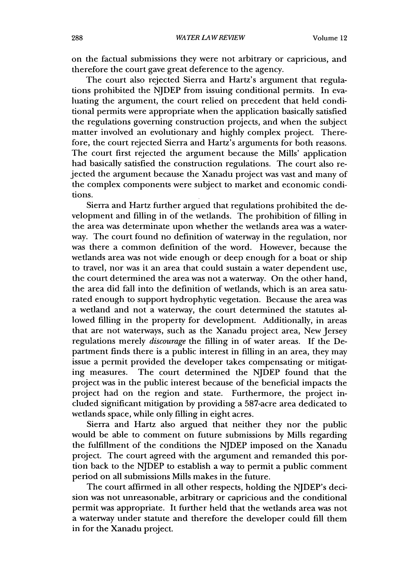on the factual submissions they were not arbitrary or capricious, and therefore the court gave great deference to the agency.

The court also rejected Sierra and Hartz's argument that regulations prohibited the **NJDEP** from issuing conditional permits. In evaluating the argument, the court relied on precedent that held conditional permits were appropriate when the application basically satisfied the regulations governing construction projects, and when the subject matter involved an evolutionary and **highly** complex project. Therefore, the court rejected Sierra and Hartz's arguments for both reasons. The court first rejected the argument because the Mills' application had basically satisfied the construction regulations. The court also rejected the argument because the Xanadu project was vast and many of the complex components were subject to market and economic conditions.

Sierra and Hartz further argued that regulations prohibited the development and filling in of the wetlands. The prohibition of filling in the area was determinate upon whether the wetlands area was a waterway. The court found no definition of waterway in the regulation, nor was there a common definition of the word. However, because the wetlands area was not wide enough or deep enough for a boat or ship to travel, nor was it an area that could sustain a water dependent use, the court determined the area was not a waterway. On the other hand, the area did fall into the definition of wetlands, which is an area saturated enough to support hydrophytic vegetation. Because the area was a wetland and not a waterway, the court determined the statutes allowed filling in the property for development. Additionally, in areas that are not waterways, such as the Xanadu project area, New Jersey regulations merely *discourage* the filling in of water areas. **If** the Department finds there is a public interest in filling in an area, they may issue a permit provided the developer takes compensating or mitigating measures. The court determined the **NJDEP** found that the project was in the public interest because of the beneficial impacts the project had on the region and state. Furthermore, the project included significant mitigation **by** providing a 587-acre area dedicated to wetlands space, while only filling in eight acres.

Sierra and Hartz also argued that neither they nor the public would be able to comment on future submissions **by** Mills regarding the fulfillment of the conditions the **NJDEP** imposed on the Xanadu project. The court agreed with the argument and remanded this portion back to the **NJDEP** to establish a way to permit a public comment period on all submissions Mills makes in the future.

The court affirmed in all other respects, holding the NJDEP's decision was not unreasonable, arbitrary or capricious and the conditional permit was appropriate. It further held that the wetlands area was not a waterway under statute and therefore the developer could **fill** them in for the Xanadu project.